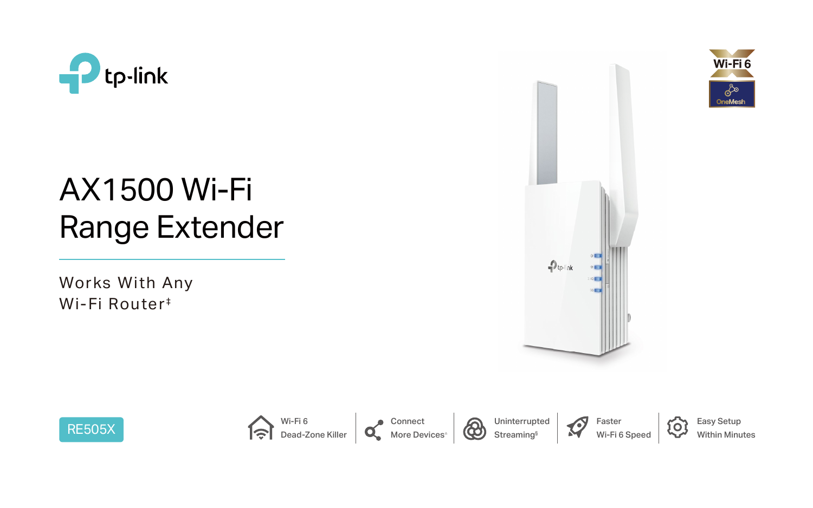

# AX1500 Wi-Fi Range Extender

Works With Any Wi-Fi Router<sup>#</sup>



Uninterrupted Streaming<sup>§</sup>













Easy Setup Within Minutes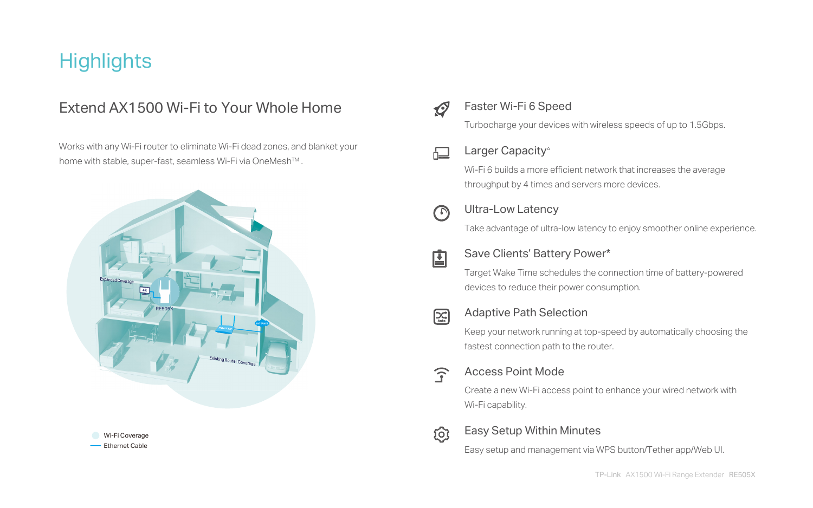## **Highlights**

## Extend AX1500 Wi-Fi to Your Whole Home

 Works with any Wi-Fi router to eliminate Wi-Fi dead zones, and blanket your home with stable, super-fast, seamless Wi-Fi via OneMesh™.

## Faster Wi-Fi 6 Speed

## Larger Capacity<sup>△</sup>

Turbocharge your devices with wireless speeds of up to 1.5Gbps.







#### Adaptive Path Selection

Keep your network running at top-speed by automatically choosing the fastest connection path to the router.



Wi-Fi 6 builds a more efficient network that increases the average throughput by 4 times and servers more devices.

### Ultra-Low Latency

Take advantage of ultra-low latency to enjoy smoother online experience.

### Save Clients' Battery Power\*

Target Wake Time schedules the connection time of battery-powered devices to reduce their power consumption.



### Easy Setup Within Minutes

Easy setup and management via WPS button/Tether app/Web UI.

### Access Point Mode

Create a new Wi-Fi access point to enhance your wired network with

Wi-Fi capability.





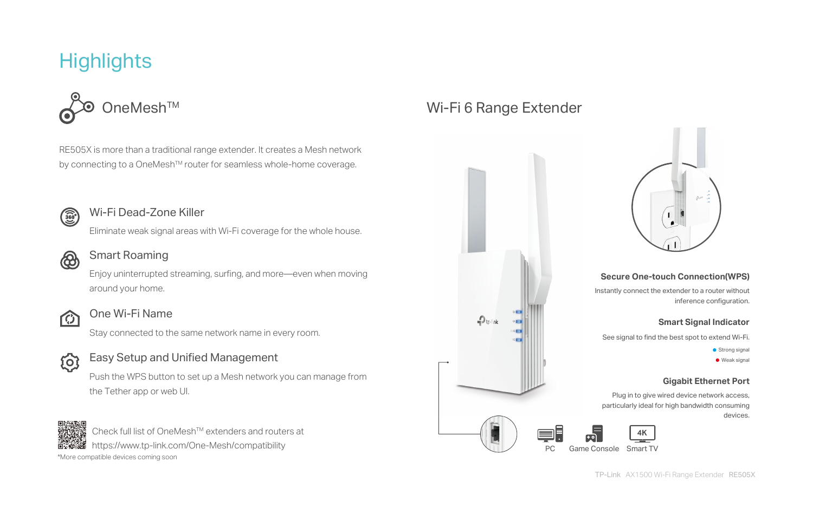RE505X is more than a traditional range extender. It creates a Mesh network by connecting to a OneMesh<sup>™</sup> router for seamless whole-home coverage.



## Wi-Fi 6 Range Extender

 $\n *Q*$  tp-link



# **Highlights**



Check full list of OneMesh<sup>™</sup> extenders and routers at https://www.tp-link.com/One-Mesh/compatibility

\*More compatible devices coming soon

#### Smart Roaming

Enjoy uninterrupted streaming, surfing, and more—even when moving around your home.



#### One Wi-Fi Name

Stay connected to the same network name in every room.



#### Easy Setup and Unified Management

Push the WPS button to set up a Mesh network you can manage from the Tether app or web UI.



### Wi-Fi Dead-Zone Killer

Eliminate weak signal areas with Wi-Fi coverage for the whole house.



#### **Secure One-touch Connection(WPS)**

Instantly connect the extender to a router without inference configuration.

#### **Smart Signal Indicator**

See signal to find the best spot to extend Wi-Fi.

**•** Strong signal **•** Weak signal

#### **Gigabit Ethernet Port**

Plug in to give wired device network access, particularly ideal for high bandwidth consuming devices.

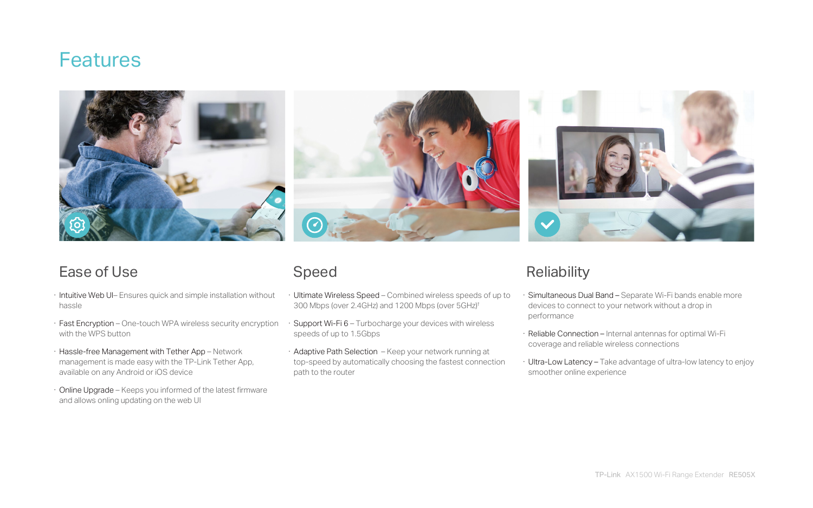- · Ultimate Wireless Speed Combined wireless speeds of up to 300 Mbps (over 2.4GHz) and 1200 Mbps (over 5GHz)† Simultaneous Dual Band - Separate Wi-Fi bands enable more devices to connect to your network without a drop in performance
- Support Wi-Fi 6 Turbocharge your devices with wireless speeds of up to 1.5Gbps
- · Adaptive Path Selection Keep your network running at top-speed by automatically choosing the fastest connection path to the router

## **Reliability**

## Speed

- · Reliable Connection Internal antennas for optimal Wi-Fi coverage and reliable wireless connections
- · Ultra-Low Latency Take advantage of ultra-low latency to enjoy smoother online experience
- · Intuitive Web UI– Ensures quick and simple installation without hassle
- · Fast Encryption One-touch WPA wireless security encryption with the WPS button
- · Hassle-free Management with Tether App Network management is made easy with the TP-Link Tether App, available on any Android or iOS device
- · Online Upgrade Keeps you informed of the latest firmware and allows onling updating on the web UI

## **Features**





## Ease of Use